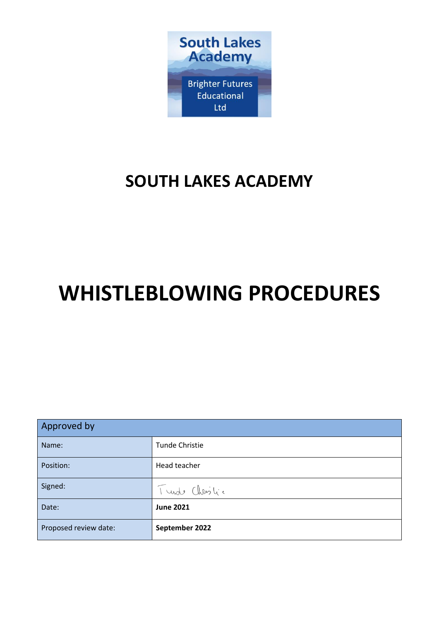

# **SOUTH LAKES ACADEMY**

# **WHISTLEBLOWING PROCEDURES**

| Approved by           |                       |  |
|-----------------------|-----------------------|--|
| Name:                 | <b>Tunde Christie</b> |  |
| Position:             | Head teacher          |  |
| Signed:               | Turde Christic        |  |
| Date:                 | <b>June 2021</b>      |  |
| Proposed review date: | September 2022        |  |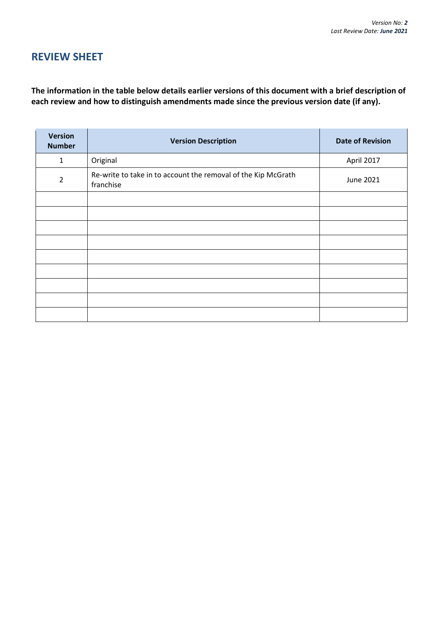# **REVIEW SHEET**

**The information in the table below details earlier versions of this document with a brief description of each review and how to distinguish amendments made since the previous version date (if any).**

| <b>Version</b><br><b>Number</b> | <b>Version Description</b>                                                 | <b>Date of Revision</b> |
|---------------------------------|----------------------------------------------------------------------------|-------------------------|
| 1                               | Original                                                                   | April 2017              |
| $\overline{2}$                  | Re-write to take in to account the removal of the Kip McGrath<br>franchise | <b>June 2021</b>        |
|                                 |                                                                            |                         |
|                                 |                                                                            |                         |
|                                 |                                                                            |                         |
|                                 |                                                                            |                         |
|                                 |                                                                            |                         |
|                                 |                                                                            |                         |
|                                 |                                                                            |                         |
|                                 |                                                                            |                         |
|                                 |                                                                            |                         |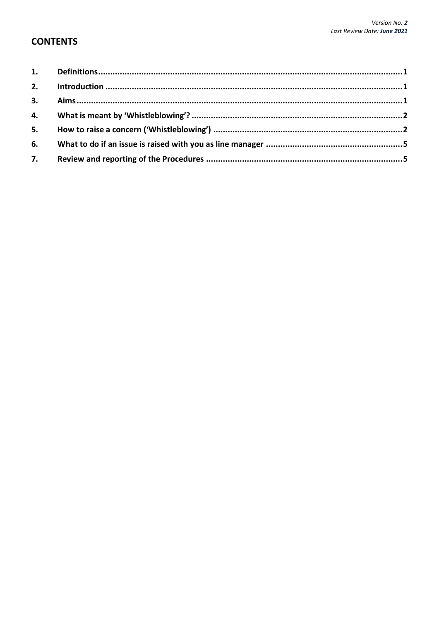# **CONTENTS**

| 3. |  |
|----|--|
|    |  |
| 5. |  |
| 6. |  |
| 7. |  |
|    |  |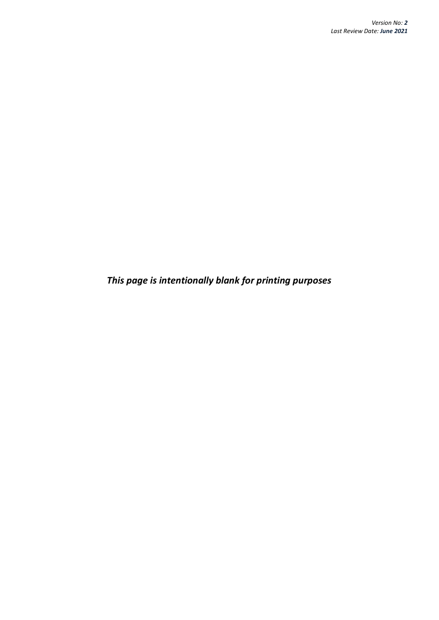*This page is intentionally blank for printing purposes*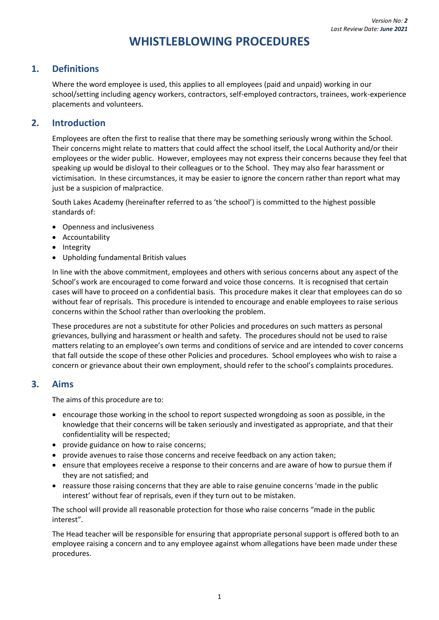# **WHISTLEBLOWING PROCEDURES**

# <span id="page-4-0"></span>**1. Definitions**

Where the word employee is used, this applies to all employees (paid and unpaid) working in our school/setting including agency workers, contractors, self-employed contractors, trainees, work-experience placements and volunteers.

### <span id="page-4-1"></span>**2. Introduction**

Employees are often the first to realise that there may be something seriously wrong within the School. Their concerns might relate to matters that could affect the school itself, the Local Authority and/or their employees or the wider public. However, employees may not express their concerns because they feel that speaking up would be disloyal to their colleagues or to the School. They may also fear harassment or victimisation. In these circumstances, it may be easier to ignore the concern rather than report what may just be a suspicion of malpractice.

South Lakes Academy (hereinafter referred to as 'the school') is committed to the highest possible standards of:

- Openness and inclusiveness
- Accountability
- Integrity
- Upholding fundamental British values

In line with the above commitment, employees and others with serious concerns about any aspect of the School's work are encouraged to come forward and voice those concerns. It is recognised that certain cases will have to proceed on a confidential basis. This procedure makes it clear that employees can do so without fear of reprisals. This procedure is intended to encourage and enable employees to raise serious concerns within the School rather than overlooking the problem.

These procedures are not a substitute for other Policies and procedures on such matters as personal grievances, bullying and harassment or health and safety. The procedures should not be used to raise matters relating to an employee's own terms and conditions of service and are intended to cover concerns that fall outside the scope of these other Policies and procedures. School employees who wish to raise a concern or grievance about their own employment, should refer to the school's complaints procedures.

#### <span id="page-4-2"></span>**3. Aims**

The aims of this procedure are to:

- encourage those working in the school to report suspected wrongdoing as soon as possible, in the knowledge that their concerns will be taken seriously and investigated as appropriate, and that their confidentiality will be respected;
- provide guidance on how to raise concerns;
- provide avenues to raise those concerns and receive feedback on any action taken;
- ensure that employees receive a response to their concerns and are aware of how to pursue them if they are not satisfied; and
- reassure those raising concerns that they are able to raise genuine concerns 'made in the public interest' without fear of reprisals, even if they turn out to be mistaken.

The school will provide all reasonable protection for those who raise concerns "made in the public interest".

<span id="page-4-3"></span>The Head teacher will be responsible for ensuring that appropriate personal support is offered both to an employee raising a concern and to any employee against whom allegations have been made under these procedures.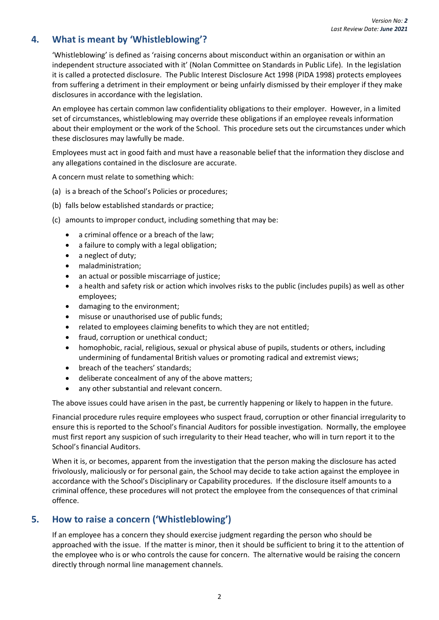# **4. What is meant by 'Whistleblowing'?**

'Whistleblowing' is defined as 'raising concerns about misconduct within an organisation or within an independent structure associated with it' (Nolan Committee on Standards in Public Life). In the legislation it is called a protected disclosure. The Public Interest Disclosure Act 1998 (PIDA 1998) protects employees from suffering a detriment in their employment or being unfairly dismissed by their employer if they make disclosures in accordance with the legislation.

An employee has certain common law confidentiality obligations to their employer. However, in a limited set of circumstances, whistleblowing may override these obligations if an employee reveals information about their employment or the work of the School. This procedure sets out the circumstances under which these disclosures may lawfully be made.

Employees must act in good faith and must have a reasonable belief that the information they disclose and any allegations contained in the disclosure are accurate.

A concern must relate to something which:

- (a) is a breach of the School's Policies or procedures;
- (b) falls below established standards or practice;
- (c) amounts to improper conduct, including something that may be:
	- a criminal offence or a breach of the law;
	- a failure to comply with a legal obligation;
	- a neglect of duty;
	- maladministration;
	- an actual or possible miscarriage of justice;
	- a health and safety risk or action which involves risks to the public (includes pupils) as well as other employees;
	- damaging to the environment;
	- misuse or unauthorised use of public funds;
	- related to employees claiming benefits to which they are not entitled;
	- fraud, corruption or unethical conduct;
	- homophobic, racial, religious, sexual or physical abuse of pupils, students or others, including undermining of fundamental British values or promoting radical and extremist views;
	- breach of the teachers' standards;
	- deliberate concealment of any of the above matters;
	- any other substantial and relevant concern.

The above issues could have arisen in the past, be currently happening or likely to happen in the future.

Financial procedure rules require employees who suspect fraud, corruption or other financial irregularity to ensure this is reported to the School's financial Auditors for possible investigation. Normally, the employee must first report any suspicion of such irregularity to their Head teacher, who will in turn report it to the School's financial Auditors.

When it is, or becomes, apparent from the investigation that the person making the disclosure has acted frivolously, maliciously or for personal gain, the School may decide to take action against the employee in accordance with the School's Disciplinary or Capability procedures. If the disclosure itself amounts to a criminal offence, these procedures will not protect the employee from the consequences of that criminal offence.

# <span id="page-5-0"></span>**5. How to raise a concern ('Whistleblowing')**

If an employee has a concern they should exercise judgment regarding the person who should be approached with the issue. If the matter is minor, then it should be sufficient to bring it to the attention of the employee who is or who controls the cause for concern. The alternative would be raising the concern directly through normal line management channels.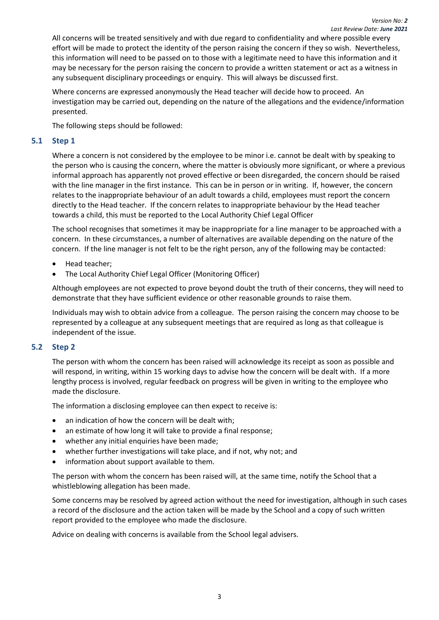All concerns will be treated sensitively and with due regard to confidentiality and where possible every effort will be made to protect the identity of the person raising the concern if they so wish. Nevertheless, this information will need to be passed on to those with a legitimate need to have this information and it may be necessary for the person raising the concern to provide a written statement or act as a witness in any subsequent disciplinary proceedings or enquiry. This will always be discussed first.

Where concerns are expressed anonymously the Head teacher will decide how to proceed. An investigation may be carried out, depending on the nature of the allegations and the evidence/information presented.

The following steps should be followed:

#### **5.1 Step 1**

Where a concern is not considered by the employee to be minor i.e. cannot be dealt with by speaking to the person who is causing the concern, where the matter is obviously more significant, or where a previous informal approach has apparently not proved effective or been disregarded, the concern should be raised with the line manager in the first instance. This can be in person or in writing. If, however, the concern relates to the inappropriate behaviour of an adult towards a child, employees must report the concern directly to the Head teacher. If the concern relates to inappropriate behaviour by the Head teacher towards a child, this must be reported to the Local Authority Chief Legal Officer

The school recognises that sometimes it may be inappropriate for a line manager to be approached with a concern. In these circumstances, a number of alternatives are available depending on the nature of the concern. If the line manager is not felt to be the right person, any of the following may be contacted:

- Head teacher;
- The Local Authority Chief Legal Officer (Monitoring Officer)

Although employees are not expected to prove beyond doubt the truth of their concerns, they will need to demonstrate that they have sufficient evidence or other reasonable grounds to raise them.

Individuals may wish to obtain advice from a colleague. The person raising the concern may choose to be represented by a colleague at any subsequent meetings that are required as long as that colleague is independent of the issue.

#### **5.2 Step 2**

The person with whom the concern has been raised will acknowledge its receipt as soon as possible and will respond, in writing, within 15 working days to advise how the concern will be dealt with. If a more lengthy process is involved, regular feedback on progress will be given in writing to the employee who made the disclosure.

The information a disclosing employee can then expect to receive is:

- an indication of how the concern will be dealt with;
- an estimate of how long it will take to provide a final response;
- whether any initial enquiries have been made;
- whether further investigations will take place, and if not, why not; and
- information about support available to them.

The person with whom the concern has been raised will, at the same time, notify the School that a whistleblowing allegation has been made.

Some concerns may be resolved by agreed action without the need for investigation, although in such cases a record of the disclosure and the action taken will be made by the School and a copy of such written report provided to the employee who made the disclosure.

Advice on dealing with concerns is available from the School legal advisers.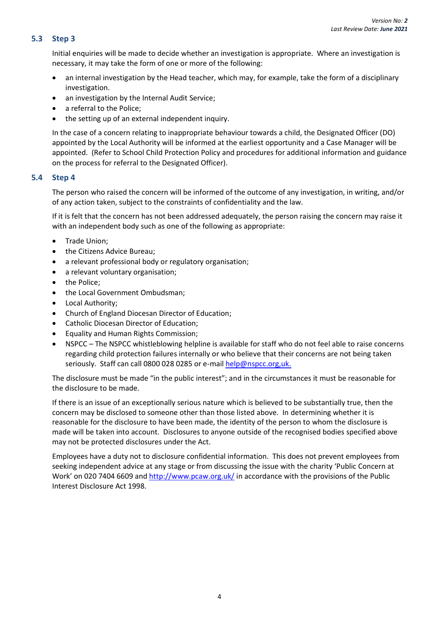#### **5.3 Step 3**

Initial enquiries will be made to decide whether an investigation is appropriate. Where an investigation is necessary, it may take the form of one or more of the following:

- an internal investigation by the Head teacher, which may, for example, take the form of a disciplinary investigation.
- an investigation by the Internal Audit Service;
- a referral to the Police;
- the setting up of an external independent inquiry.

In the case of a concern relating to inappropriate behaviour towards a child, the Designated Officer (DO) appointed by the Local Authority will be informed at the earliest opportunity and a Case Manager will be appointed. (Refer to School Child Protection Policy and procedures for additional information and guidance on the process for referral to the Designated Officer).

#### **5.4 Step 4**

The person who raised the concern will be informed of the outcome of any investigation, in writing, and/or of any action taken, subject to the constraints of confidentiality and the law.

If it is felt that the concern has not been addressed adequately, the person raising the concern may raise it with an independent body such as one of the following as appropriate:

- Trade Union;
- the Citizens Advice Bureau;
- a relevant professional body or regulatory organisation;
- a relevant voluntary organisation;
- the Police;
- the Local Government Ombudsman;
- Local Authority;
- Church of England Diocesan Director of Education;
- Catholic Diocesan Director of Education;
- Equality and Human Rights Commission;
- NSPCC The NSPCC whistleblowing helpline is available for staff who do not feel able to raise concerns regarding child protection failures internally or who believe that their concerns are not being taken seriously. Staff can call 0800 028 0285 or e-mail [help@nspcc.org,uk.](mailto:help@nspcc.org,uk)

The disclosure must be made "in the public interest"; and in the circumstances it must be reasonable for the disclosure to be made.

If there is an issue of an exceptionally serious nature which is believed to be substantially true, then the concern may be disclosed to someone other than those listed above. In determining whether it is reasonable for the disclosure to have been made, the identity of the person to whom the disclosure is made will be taken into account. Disclosures to anyone outside of the recognised bodies specified above may not be protected disclosures under the Act.

<span id="page-7-0"></span>Employees have a duty not to disclosure confidential information. This does not prevent employees from seeking independent advice at any stage or from discussing the issue with the charity 'Public Concern at Work' on 020 7404 6609 and<http://www.pcaw.org.uk/> in accordance with the provisions of the Public Interest Disclosure Act 1998.